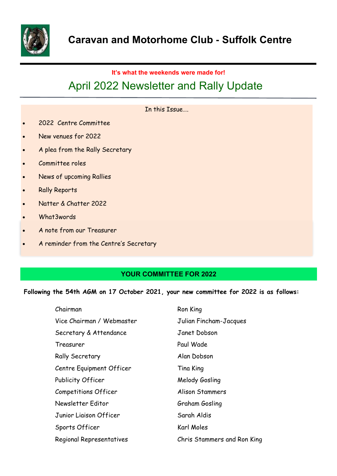

## **It's what the weekends were made for!**

# April 2022 Newsletter and Rally Update

## In this Issue….

- 2022 Centre Committee
- New venues for 2022
- A plea from the Rally Secretary
- Committee roles
- News of upcoming Rallies
- Rally Reports
- Natter & Chatter 2022
- What3words
- A note from our Treasurer
- A reminder from the Centre's Secretary

## **YOUR COMMITTEE FOR 2022**

#### **Following the 54th AGM on 17 October 2021, your new committee for 2022 is as follows:**

| Chairman                    | Ron King                    |
|-----------------------------|-----------------------------|
| Vice Chairman / Webmaster   | Julian Fincham-Jacques      |
| Secretary & Attendance      | Janet Dobson                |
| Treasurer                   | Paul Wade                   |
| <b>Rally Secretary</b>      | Alan Dobson                 |
| Centre Equipment Officer    | Tina King                   |
| Publicity Officer           | Melody Gosling              |
| <b>Competitions Officer</b> | Alison Stammers             |
| Newsletter Editor           | Graham Gosling              |
| Junior Liaison Officer      | Sarah Aldis                 |
| Sports Officer              | Karl Moles                  |
| Regional Representatives    | Chris Stammers and Ron King |
|                             |                             |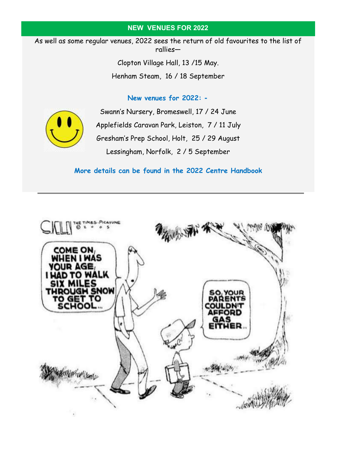## **NEW VENUES FOR 2022**

As well as some regular venues, 2022 sees the return of old favourites to the list of rallies—

> Clopton Village Hall, 13 /15 May. Henham Steam, 16 / 18 September

> > **New venues for 2022: -**



Swann's Nursery, Bromeswell, 17 / 24 June Applefields Caravan Park, Leiston, 7 / 11 July Gresham's Prep School, Holt, 25 / 29 August Lessingham, Norfolk, 2 / 5 September

## **More details can be found in the 2022 Centre Handbook**

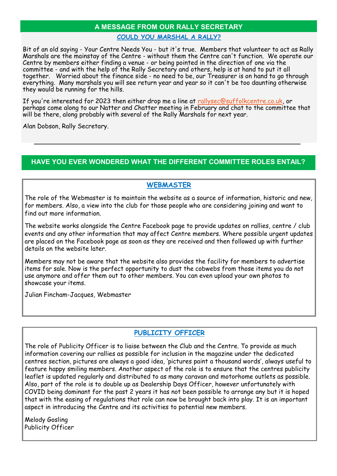# **A MESSAGE FROM OUR RALLY SECRETARY COULD YOU MARSHAL A RALLY?**

Bit of an old saying - Your Centre Needs You - but it's true. Members that volunteer to act as Rally Marshals are the mainstay of the Centre - without them the Centre can't function. We operate our Centre by members either finding a venue - or being pointed in the direction of one via the committee - and with the help of the Rally Secretary and others, help is at hand to put it all together. Worried about the finance side - no need to be, our Treasurer is on hand to go through everything. Many marshals you will see return year and year so it can't be too daunting otherwise they would be running for the hills.

If you're interested for 2023 then either drop me a line at [rallysec@suffolkcentre.co.uk,](mailto:rallysec@suffolkcentre.co.uk) or perhaps come along to our Natter and Chatter meeting in February and chat to the committee that will be there, along probably with several of the Rally Marshals for next year.

Alan Dobson, Rally Secretary.

## **HAVE YOU EVER WONDERED WHAT THE DIFFERENT COMMITTEE ROLES ENTAIL?**

# **WEBMASTER**

The role of the Webmaster is to maintain the website as a source of information, historic and new, for members. Also, a view into the club for those people who are considering joining and want to find out more information.

The website works alongside the Centre Facebook page to provide updates on rallies, centre / club events and any other information that may affect Centre members. Where possible urgent updates are placed on the Facebook page as soon as they are received and then followed up with further details on the website later.

Members may not be aware that the website also provides the facility for members to advertise items for sale. Now is the perfect opportunity to dust the cobwebs from those items you do not use anymore and offer them out to other members. You can even upload your own photos to showcase your items.

Julian Fincham-Jacques, Webmaster

# **PUBLICITY OFFICER**

The role of Publicity Officer is to liaise between the Club and the Centre. To provide as much information covering our rallies as possible for inclusion in the magazine under the dedicated centres section, pictures are always a good idea, 'pictures paint a thousand words', always useful to feature happy smiling members. Another aspect of the role is to ensure that the centres publicity leaflet is updated regularly and distributed to as many caravan and motorhome outlets as possible. Also, part of the role is to double up as Dealership Days Officer, however unfortunately with COVID being dominant for the past 2 years it has not been possible to arrange any but it is hoped that with the easing of regulations that role can now be brought back into play. It is an important aspect in introducing the Centre and its activities to potential new members.

Melody Gosling Publicity Officer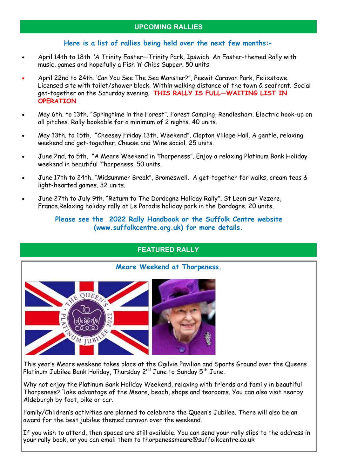## **Here is a list of rallies being held over the next few months:-**

- April 14th to 18th. 'A Trinity Easter—Trinity Park, Ipswich. An Easter-themed Rally with music, games and hopefully a Fish 'n' Chips Supper. 50 units
- April 22nd to 24th. 'Can You See The Sea Monster?", Peewit Caravan Park, Felixstowe. Licensed site with toilet/shower block. Within walking distance of the town & seafront. Social get-together on the Saturday evening. **THIS RALLY IS FULL—WAITING LIST IN OPERATION**
- May 6th. to 13th. "Springtime in the Forest". Forest Camping, Rendlesham. Electric hook-up on all pitches. Rally bookable for a minimum of 2 nights. 40 units.
- May 13th. to 15th. "Cheesey Friday 13th. Weekend". Clopton Village Hall. A gentle, relaxing weekend and get-together. Cheese and Wine social. 25 units.
- June 2nd. to 5th. "A Meare Weekend in Thorpeness". Enjoy a relaxing Platinum Bank Holiday weekend in beautiful Thorpeness. 50 units.
- June 17th to 24th. "Midsummer Break", Bromeswell. A get-together for walks, cream teas & light-hearted games. 32 units.
- June 27th to July 9th. "Return to The Dordogne Holiday Rally". St Leon sur Vezere, France.Relaxing holiday rally at Le Paradis holiday park in the Dordogne. 20 units.

## **Please see the 2022 Rally Handbook or the Suffolk Centre website (www.suffolkcentre.org.uk) for more details.**

# **FEATURED RALLY**



**Meare Weekend at Thorpeness.**

This year's Meare weekend takes place at the Ogilvie Pavilion and Sports Ground over the Queens Platinum Jubilee Bank Holiday, Thursday  $2^{nd}$  June to Sunday  $5^{th}$  June.

Why not enjoy the Platinum Bank Holiday Weekend, relaxing with friends and family in beautiful Thorpeness? Take advantage of the Meare, beach, shops and tearooms. You can also visit nearby Aldeburgh by foot, bike or car.

Family/Children's activities are planned to celebrate the Queen's Jubilee. There will also be an award for the best jubilee themed caravan over the weekend.

If you wish to attend, then spaces are still available. You can send your rally slips to the address in your rally book, or you can email them to thorpenessmeare@suffolkcentre.co.uk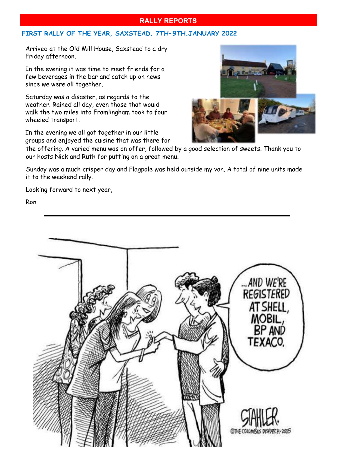## **RALLY REPORTS**

## **FIRST RALLY OF THE YEAR, SAXSTEAD. 7TH-9TH.JANUARY 2022**

Arrived at the Old Mill House, Saxstead to a dry Friday afternoon.

In the evening it was time to meet friends for a few beverages in the bar and catch up on news since we were all together.

Saturday was a disaster, as regards to the weather. Rained all day, even those that would walk the two miles into Framlingham took to four wheeled transport.

In the evening we all got together in our little groups and enjoyed the cuisine that was there for



the offering. A varied menu was on offer, followed by a good selection of sweets. Thank you to our hosts Nick and Ruth for putting on a great menu.

Sunday was a much crisper day and Flagpole was held outside my van. A total of nine units made it to the weekend rally.

Looking forward to next year,

Ron

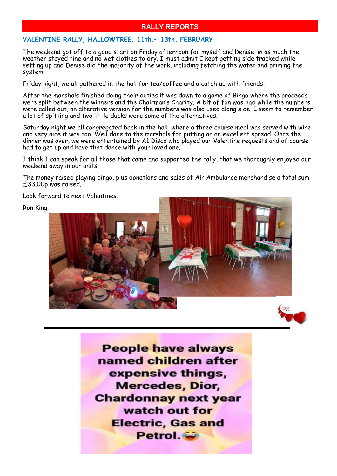# **RALLY REPORTS**

#### **VALENTINE RALLY, HALLOWTREE. 11th.- 13th. FEBRUARY**

The weekend got off to a good start on Friday afternoon for myself and Denise, in as much the weather stayed fine and no wet clothes to dry. I must admit I kept getting side tracked while setting up and Denise did the majority of the work, including fetching the water and priming the system.

Friday night, we all gathered in the hall for tea/coffee and a catch up with friends.

After the marshals finished doing their duties it was down to a game of Bingo where the proceeds were split between the winners and the Chairman's Charity. A bit of fun was had while the numbers were called out, an alterative version for the numbers was also used along side. I seem to remember a lot of spitting and two little ducks were some of the alternatives.

Saturday night we all congregated back in the hall, where a three course meal was served with wine and very nice it was too. Well done to the marshals for putting on an excellent spread. Once the dinner was over, we were entertained by A1 Disco who played our Valentine requests and of course had to get up and have that dance with your loved one.

I think I can speak for all those that came and supported the rally, that we thoroughly enjoyed our weekend away in our units.

The money raised playing bingo, plus donations and sales of Air Ambulance merchandise a total sum £33.00p was raised.

Look forward to next Valentines.

Ron King.





**People have always** named children after expensive things. **Mercedes, Dior, Chardonnay next year** watch out for **Electric, Gas and** Petrol.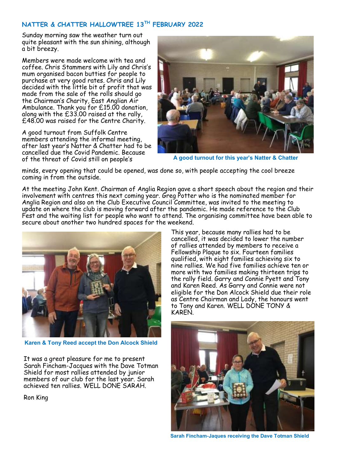#### **NATTER & CHATTER HALLOWTREE 13TH FEBRUARY 2022**

Sunday morning saw the weather turn out quite pleasant with the sun shining, although a bit breezy.

Members were made welcome with tea and coffee. Chris Stammers with Lily and Chris's mum organised bacon butties for people to purchase at very good rates. Chris and Lily decided with the little bit of profit that was made from the sale of the rolls should go the Chairman's Charity, East Anglian Air Ambulance. Thank you for £15.00 donation, along with the £33.00 raised at the rally, £48.00 was raised for the Centre Charity.

A good turnout from Suffolk Centre members attending the informal meeting, after last year's Natter & Chatter had to be cancelled due the Covid Pandemic. Because of the threat of Covid still on people's



**A good turnout for this year's Natter & Chatter**

minds, every opening that could be opened, was done so, with people accepting the cool breeze coming in from the outside.

At the meeting John Kent. Chairman of Anglia Region gave a short speech about the region and their involvement with centres this next coming year. Greg Potter who is the nominated member for Anglia Region and also on the Club Executive Council Committee, was invited to the meeting to update on where the club is moving forward after the pandemic. He made reference to the Club Fest and the waiting list for people who want to attend. The organising committee have been able to secure about another two hundred spaces for the weekend.



**Karen & Tony Reed accept the Don Alcock Shield**

It was a great pleasure for me to present Sarah Fincham-Jacques with the Dave Totman Shield for most rallies attended by junior members of our club for the last year. Sarah achieved ten rallies. WELL DONE SARAH.

Ron King

This year, because many rallies had to be cancelled, it was decided to lower the number of rallies attended by members to receive a Fellowship Plaque to six. Fourteen families qualified, with eight families achieving six to nine rallies. We had five families achieve ten or more with two families making thirteen trips to the rally field. Garry and Connie Pyett and Tony and Karen Reed. As Garry and Connie were not eligible for the Don Alcock Shield due their role as Centre Chairman and Lady, the honours went to Tony and Karen. WELL DONE TONY & KAREN.



**Sarah Fincham-Jaques receiving the Dave Totman Shield**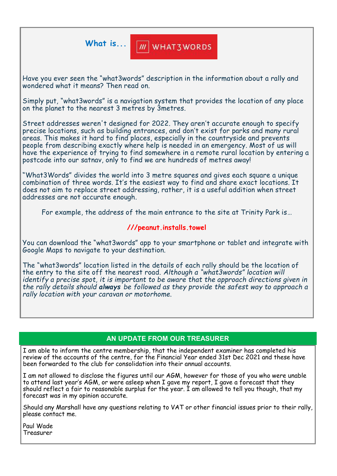What is... **M** WHAT3WORDS

Have you ever seen the "what3words" description in the information about a rally and wondered what it means? Then read on.

Simply put, "what3words" is a navigation system that provides the location of any place on the planet to the nearest 3 metres by 3metres.

Street addresses weren't designed for 2022. They aren't accurate enough to specify precise locations, such as building entrances, and don't exist for parks and many rural areas. This makes it hard to find places, especially in the countryside and prevents people from describing exactly where help is needed in an emergency. Most of us will have the experience of trying to find somewhere in a remote rural location by entering a postcode into our satnav, only to find we are hundreds of metres away!

"What3Words" divides the world into 3 metre squares and gives each square a unique combination of three words. It's the easiest way to find and share exact locations. It does not aim to replace street addressing, rather, it is a useful addition when street addresses are not accurate enough.

For example, the address of the main entrance to the site at Trinity Park is…

## **///peanut.installs.towel**

You can download the "what3words" app to your smartphone or tablet and integrate with Google Maps to navigate to your destination.

The "what3words" location listed in the details of each rally should be the location of the entry to the site off the nearest road. *Although a "what3words" location will identify a precise spot, it is important to be aware that the approach directions given in the rally details should always be followed as they provide the safest way to approach a rally location with your caravan or motorhome.*

# **AN UPDATE FROM OUR TREASURER**

I am able to inform the centre membership, that the independent examiner has completed his review of the accounts of the centre, for the Financial Year ended 31st Dec 2021 and these have been forwarded to the club for consolidation into their annual accounts.

I am not allowed to disclose the figures until our AGM, however for those of you who were unable to attend last year's AGM, or were asleep when I gave my report, I gave a forecast that they should reflect a fair to reasonable surplus for the year. I am allowed to tell you though, that my forecast was in my opinion accurate.

Should any Marshall have any questions relating to VAT or other financial issues prior to their rally, please contact me.

Paul Wade Treasurer